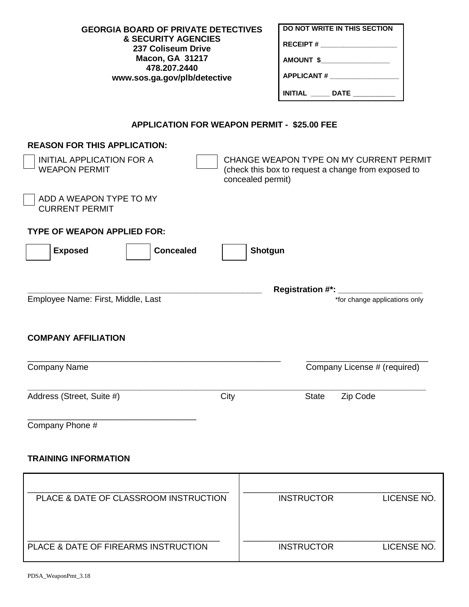| <b>GEORGIA BOARD OF PRIVATE DETECTIVES</b><br><b>&amp; SECURITY AGENCIES</b><br>237 Coliseum Drive<br><b>Macon, GA 31217</b><br>478.207.2440<br>www.sos.ga.gov/plb/detective |                   | DO NOT WRITE IN THIS SECTION<br>RECEIPT # ______________________<br>AMOUNT \$<br>APPLICANT # ___________________<br><b>INITIAL</b> _______ DATE ____________ |                                                                                                |  |  |  |
|------------------------------------------------------------------------------------------------------------------------------------------------------------------------------|-------------------|--------------------------------------------------------------------------------------------------------------------------------------------------------------|------------------------------------------------------------------------------------------------|--|--|--|
| <b>APPLICATION FOR WEAPON PERMIT - \$25.00 FEE</b>                                                                                                                           |                   |                                                                                                                                                              |                                                                                                |  |  |  |
| <b>REASON FOR THIS APPLICATION:</b><br><b>INITIAL APPLICATION FOR A</b><br><b>WEAPON PERMIT</b>                                                                              | concealed permit) |                                                                                                                                                              | CHANGE WEAPON TYPE ON MY CURRENT PERMIT<br>(check this box to request a change from exposed to |  |  |  |
| ADD A WEAPON TYPE TO MY<br><b>CURRENT PERMIT</b>                                                                                                                             |                   |                                                                                                                                                              |                                                                                                |  |  |  |
| <b>TYPE OF WEAPON APPLIED FOR:</b>                                                                                                                                           |                   |                                                                                                                                                              |                                                                                                |  |  |  |
| <b>Concealed</b><br><b>Exposed</b>                                                                                                                                           | Shotgun           |                                                                                                                                                              |                                                                                                |  |  |  |
| Employee Name: First, Middle, Last                                                                                                                                           |                   |                                                                                                                                                              | *for change applications only                                                                  |  |  |  |
| <b>COMPANY AFFILIATION</b>                                                                                                                                                   |                   |                                                                                                                                                              |                                                                                                |  |  |  |
| <b>Company Name</b>                                                                                                                                                          |                   |                                                                                                                                                              | Company License # (required)                                                                   |  |  |  |
| Address (Street, Suite #)                                                                                                                                                    | City              | <b>State</b>                                                                                                                                                 | Zip Code                                                                                       |  |  |  |
| Company Phone #                                                                                                                                                              |                   |                                                                                                                                                              |                                                                                                |  |  |  |

# **TRAINING INFORMATION**

| PLACE & DATE OF CLASSROOM INSTRUCTION | <b>INSTRUCTOR</b> | LICENSE NO. |
|---------------------------------------|-------------------|-------------|
| PLACE & DATE OF FIREARMS INSTRUCTION  | <b>INSTRUCTOR</b> | LICENSE NO. |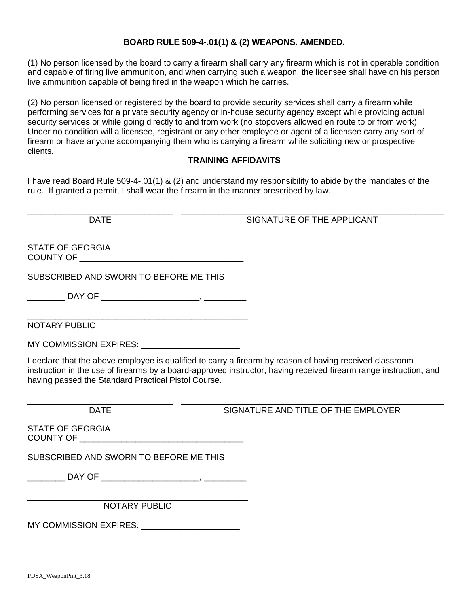### **BOARD RULE 509-4-.01(1) & (2) WEAPONS. AMENDED.**

(1) No person licensed by the board to carry a firearm shall carry any firearm which is not in operable condition and capable of firing live ammunition, and when carrying such a weapon, the licensee shall have on his person live ammunition capable of being fired in the weapon which he carries.

(2) No person licensed or registered by the board to provide security services shall carry a firearm while performing services for a private security agency or in-house security agency except while providing actual security services or while going directly to and from work (no stopovers allowed en route to or from work). Under no condition will a licensee, registrant or any other employee or agent of a licensee carry any sort of firearm or have anyone accompanying them who is carrying a firearm while soliciting new or prospective clients.

### **TRAINING AFFIDAVITS**

I have read Board Rule 509-4-.01(1) & (2) and understand my responsibility to abide by the mandates of the rule. If granted a permit, I shall wear the firearm in the manner prescribed by law.

\_\_\_\_\_\_\_\_\_\_\_\_\_\_\_\_\_\_\_\_\_\_\_\_\_\_\_\_\_\_\_ DATE

\_\_\_\_\_\_\_\_\_\_\_\_\_\_\_\_\_\_\_\_\_\_\_\_\_\_\_\_\_\_\_\_\_\_\_\_\_\_\_\_\_\_\_\_\_\_\_\_\_\_\_\_\_\_\_\_ SIGNATURE OF THE APPLICANT

STATE OF GEORGIA COUNTY OF \_\_\_\_\_\_\_\_\_\_\_\_\_\_\_\_\_\_\_\_\_\_\_\_\_\_\_\_\_\_\_\_\_\_\_

SUBSCRIBED AND SWORN TO BEFORE ME THIS

\_\_\_\_\_\_\_\_ DAY OF \_\_\_\_\_\_\_\_\_\_\_\_\_\_\_\_\_\_\_\_\_, \_\_\_\_\_\_\_\_\_

\_\_\_\_\_\_\_\_\_\_\_\_\_\_\_\_\_\_\_\_\_\_\_\_\_\_\_\_\_\_\_\_\_\_\_\_\_\_\_\_\_\_\_\_\_\_\_

NOTARY PUBLIC

MY COMMISSION EXPIRES: \_\_\_\_\_\_\_\_\_\_\_\_\_\_\_\_\_\_\_\_\_

I declare that the above employee is qualified to carry a firearm by reason of having received classroom instruction in the use of firearms by a board-approved instructor, having received firearm range instruction, and having passed the Standard Practical Pistol Course.

\_\_\_\_\_\_\_\_\_\_\_\_\_\_\_\_\_\_\_\_\_\_\_\_\_\_\_\_\_\_\_ DATE

\_\_\_\_\_\_\_\_\_\_\_\_\_\_\_\_\_\_\_\_\_\_\_\_\_\_\_\_\_\_\_\_\_\_\_\_\_\_\_\_\_\_\_\_\_\_\_\_\_\_\_\_\_\_\_\_ SIGNATURE AND TITLE OF THE EMPLOYER

STATE OF GEORGIA COUNTY OF \_\_\_\_\_\_\_\_\_\_\_\_\_\_\_\_\_\_\_\_\_\_\_\_\_\_\_\_\_\_\_\_\_\_\_

SUBSCRIBED AND SWORN TO BEFORE ME THIS

\_\_\_\_\_\_\_\_ DAY OF \_\_\_\_\_\_\_\_\_\_\_\_\_\_\_\_\_\_\_\_\_, \_\_\_\_\_\_\_\_\_

\_\_\_\_\_\_\_\_\_\_\_\_\_\_\_\_\_\_\_\_\_\_\_\_\_\_\_\_\_\_\_\_\_\_\_\_\_\_\_\_\_\_\_\_\_\_\_ NOTARY PUBLIC

MY COMMISSION EXPIRES: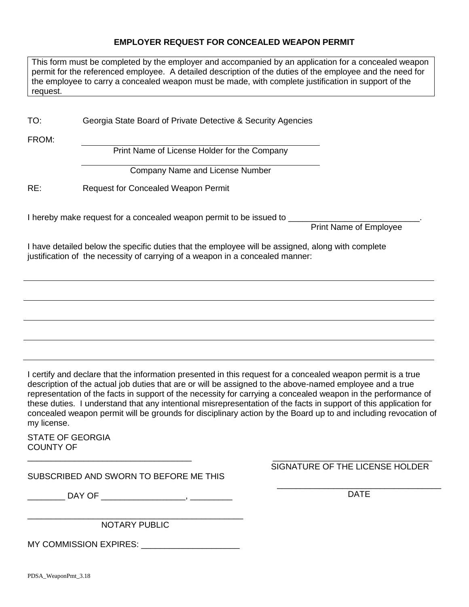#### **EMPLOYER REQUEST FOR CONCEALED WEAPON PERMIT**

| This form must be completed by the employer and accompanied by an application for a concealed weapon      |
|-----------------------------------------------------------------------------------------------------------|
| permit for the referenced employee. A detailed description of the duties of the employee and the need for |
| the employee to carry a concealed weapon must be made, with complete justification in support of the      |
| request.                                                                                                  |

TO: Georgia State Board of Private Detective & Security Agencies

FROM:

Print Name of License Holder for the Company

Company Name and License Number

RE: Request for Concealed Weapon Permit

I hereby make request for a concealed weapon permit to be issued to \_\_\_\_\_\_\_\_\_\_\_\_\_

Print Name of Employee

I have detailed below the specific duties that the employee will be assigned, along with complete justification of the necessity of carrying of a weapon in a concealed manner:

I certify and declare that the information presented in this request for a concealed weapon permit is a true description of the actual job duties that are or will be assigned to the above-named employee and a true representation of the facts in support of the necessity for carrying a concealed weapon in the performance of these duties. I understand that any intentional misrepresentation of the facts in support of this application for concealed weapon permit will be grounds for disciplinary action by the Board up to and including revocation of my license.

STATE OF GEORGIA COUNTY OF

SUBSCRIBED AND SWORN TO BEFORE ME THIS

\_\_\_\_\_\_\_\_\_\_\_\_\_\_\_\_\_\_\_\_\_\_\_\_\_\_\_\_\_\_\_\_\_\_\_

\_ DAY OF \_\_\_\_\_\_\_\_\_\_\_\_\_\_\_\_\_\_\_\_\_, \_\_\_\_\_\_\_\_\_\_\_

\_\_\_\_\_\_\_\_\_\_\_\_\_\_\_\_\_\_\_\_\_\_\_\_\_\_\_\_\_\_\_\_\_\_\_\_\_\_\_\_\_\_\_\_\_\_ NOTARY PUBLIC

MY COMMISSION EXPIRES:

 $\frac{1}{2}$  , and the set of the set of the set of the set of the set of the set of the set of the set of the set of the set of the set of the set of the set of the set of the set of the set of the set of the set of the set SIGNATURE OF THE LICENSE HOLDER

\_\_\_\_\_\_\_\_\_\_\_\_\_\_\_\_\_\_\_\_\_\_\_\_\_\_\_\_\_\_\_\_\_\_\_ DATE